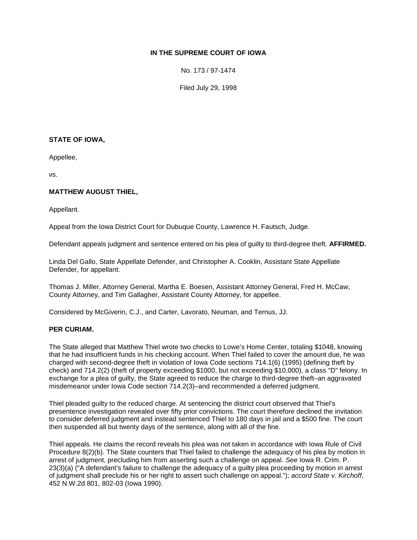# **IN THE SUPREME COURT OF IOWA**

No. 173 / 97-1474

Filed July 29, 1998

## **STATE OF IOWA,**

Appellee,

vs.

# **MATTHEW AUGUST THIEL,**

Appellant.

Appeal from the Iowa District Court for Dubuque County, Lawrence H. Fautsch, Judge.

Defendant appeals judgment and sentence entered on his plea of guilty to third-degree theft. **AFFIRMED.**

Linda Del Gallo, State Appellate Defender, and Christopher A. Cooklin, Assistant State Appellate Defender, for appellant.

Thomas J. Miller, Attorney General, Martha E. Boesen, Assistant Attorney General, Fred H. McCaw, County Attorney, and Tim Gallagher, Assistant County Attorney, for appellee.

Considered by McGiverin, C.J., and Carter, Lavorato, Neuman, and Ternus, JJ.

### **PER CURIAM.**

The State alleged that Matthew Thiel wrote two checks to Lowe's Home Center, totaling \$1048, knowing that he had insufficient funds in his checking account. When Thiel failed to cover the amount due, he was charged with second-degree theft in violation of Iowa Code sections 714.1(6) (1995) (defining theft by check) and 714.2(2) (theft of property exceeding \$1000, but not exceeding \$10,000), a class "D" felony. In exchange for a plea of guilty, the State agreed to reduce the charge to third-degree theft–an aggravated misdemeanor under Iowa Code section 714.2(3)–and recommended a deferred judgment.

Thiel pleaded guilty to the reduced charge. At sentencing the district court observed that Thiel's presentence investigation revealed over fifty prior convictions. The court therefore declined the invitation to consider deferred judgment and instead sentenced Thiel to 180 days in jail and a \$500 fine. The court then suspended all but twenty days of the sentence, along with all of the fine.

Thiel appeals. He claims the record reveals his plea was not taken in accordance with Iowa Rule of Civil Procedure 8(2)(b). The State counters that Thiel failed to challenge the adequacy of his plea by motion in arrest of judgment, precluding him from asserting such a challenge on appeal. *See* Iowa R. Crim. P. 23(3)(a) ("A defendant's failure to challenge the adequacy of a guilty plea proceeding by motion in arrest of judgment shall preclude his or her right to assert such challenge on appeal."); *accord State v. Kirchoff*, 452 N.W.2d 801, 802-03 (Iowa 1990).